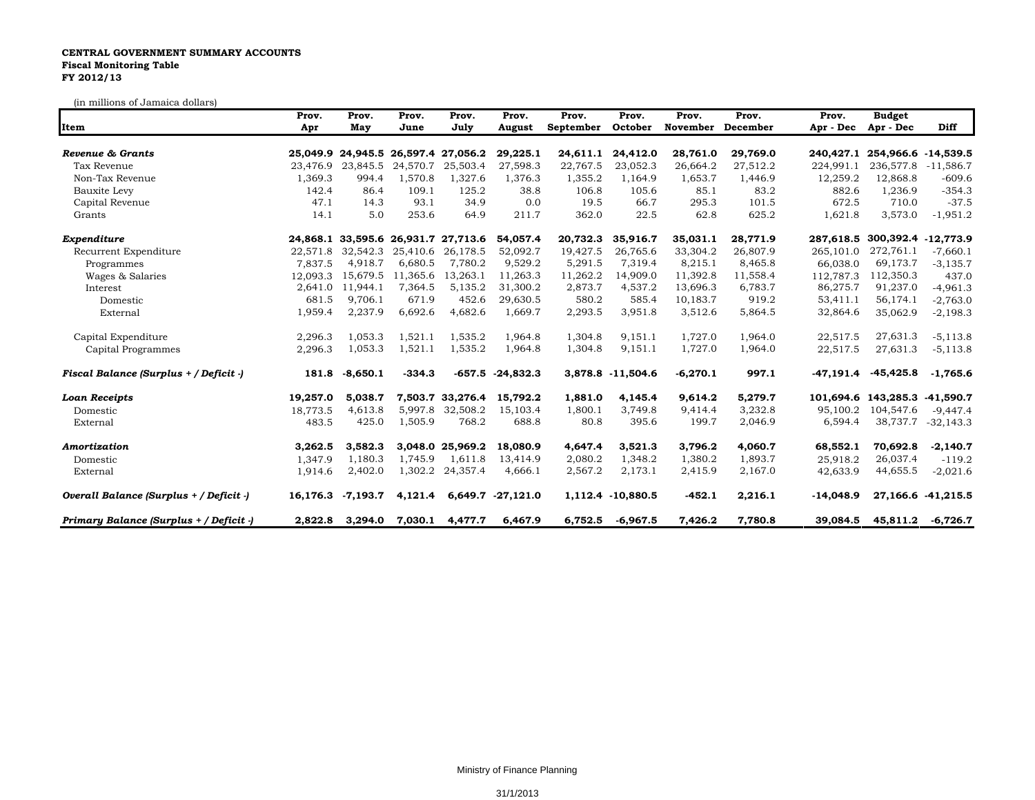## **CENTRAL GOVERNMENT SUMMARY ACCOUNTS Fiscal Monitoring Table FY 2012/13**

(in millions of Jamaica dollars)

| Item                                    | Prov.<br>Apr | Prov.<br>May | Prov.<br>June | Prov.<br>July                       | Prov.<br>August    | Prov.<br>September | Prov.<br>October  | Prov.<br>November | Prov.<br>December | Prov.<br>Apr - Dec | <b>Budget</b><br>Apr - Dec    | <b>Diff</b>        |
|-----------------------------------------|--------------|--------------|---------------|-------------------------------------|--------------------|--------------------|-------------------|-------------------|-------------------|--------------------|-------------------------------|--------------------|
| Revenue & Grants                        |              |              |               | 25,049.9 24,945.5 26,597.4 27,056.2 | 29,225.1           | 24,611.1           | 24,412.0          | 28,761.0          | 29,769.0          |                    | 240,427.1 254,966.6 -14,539.5 |                    |
| Tax Revenue                             | 23,476.9     | 23,845.5     | 24,570.7      | 25,503.4                            | 27,598.3           | 22,767.5           | 23,052.3          | 26,664.2          | 27,512.2          | 224,991.1          | 236,577.8                     | $-11,586.7$        |
| Non-Tax Revenue                         | 1,369.3      | 994.4        | 1,570.8       | 1,327.6                             | 1,376.3            | 1,355.2            | 1,164.9           | 1,653.7           | 1,446.9           | 12,259.2           | 12,868.8                      | $-609.6$           |
| Bauxite Levy                            | 142.4        | 86.4         | 109.1         | 125.2                               | 38.8               | 106.8              | 105.6             | 85.1              | 83.2              | 882.6              | 1,236.9                       | $-354.3$           |
| Capital Revenue                         | 47.1         | 14.3         | 93.1          | 34.9                                | 0.0                | 19.5               | 66.7              | 295.3             | 101.5             | 672.5              | 710.0                         | $-37.5$            |
| Grants                                  | 14.1         | 5.0          | 253.6         | 64.9                                | 211.7              | 362.0              | 22.5              | 62.8              | 625.2             | 1,621.8            | 3,573.0                       | $-1,951.2$         |
| Expenditure                             |              |              |               | 24,868.1 33,595.6 26,931.7 27,713.6 | 54,057.4           | 20,732.3           | 35,916.7          | 35,031.1          | 28,771.9          | 287,618.5          | 300,392.4 -12,773.9           |                    |
| Recurrent Expenditure                   | 22,571.8     | 32,542.3     | 25,410.6      | 26,178.5                            | 52.092.7           | 19,427.5           | 26,765.6          | 33.304.2          | 26.807.9          | 265,101.0          | 272,761.1                     | $-7.660.1$         |
| Programmes                              | 7,837.5      | 4.918.7      | 6,680.5       | 7,780.2                             | 9,529.2            | 5,291.5            | 7,319.4           | 8,215.1           | 8,465.8           | 66,038.0           | 69,173.7                      | $-3,135.7$         |
| Wages & Salaries                        | 12,093.3     | 15,679.5     | 11,365.6      | 13,263.1                            | 11,263.3           | 11,262.2           | 14,909.0          | 11,392.8          | 11,558.4          | 112,787.3          | 112,350.3                     | 437.0              |
| Interest                                | 2,641.0      | 11.944.1     | 7,364.5       | 5,135.2                             | 31,300.2           | 2,873.7            | 4,537.2           | 13,696.3          | 6,783.7           | 86,275.7           | 91,237.0                      | $-4,961.3$         |
| Domestic                                | 681.5        | 9,706.1      | 671.9         | 452.6                               | 29,630.5           | 580.2              | 585.4             | 10,183.7          | 919.2             | 53,411.1           | 56,174.1                      | $-2,763.0$         |
| External                                | 1,959.4      | 2,237.9      | 6,692.6       | 4,682.6                             | 1,669.7            | 2,293.5            | 3,951.8           | 3,512.6           | 5,864.5           | 32,864.6           | 35,062.9                      | $-2,198.3$         |
| Capital Expenditure                     | 2,296.3      | 1.053.3      | 1,521.1       | 1,535.2                             | 1,964.8            | 1,304.8            | 9,151.1           | 1,727.0           | 1,964.0           | 22,517.5           | 27,631.3                      | $-5,113.8$         |
| Capital Programmes                      | 2,296.3      | 1,053.3      | 1,521.1       | 1,535.2                             | 1,964.8            | 1,304.8            | 9,151.1           | 1,727.0           | 1,964.0           | 22,517.5           | 27,631.3                      | $-5,113.8$         |
| Fiscal Balance (Surplus + / Deficit -)  | 181.8        | $-8,650.1$   | $-334.3$      |                                     | $-657.5 -24.832.3$ |                    | 3,878.8 -11,504.6 | $-6,270.1$        | 997.1             | $-47,191.4$        | $-45,425.8$                   | $-1,765.6$         |
| <b>Loan Receipts</b>                    | 19,257.0     | 5,038.7      |               | 7,503.7 33,276.4                    | 15,792.2           | 1,881.0            | 4,145.4           | 9,614.2           | 5,279.7           |                    | 101,694.6 143,285.3 -41,590.7 |                    |
| Domestic                                | 18,773.5     | 4,613.8      | 5,997.8       | 32,508.2                            | 15,103.4           | 1,800.1            | 3,749.8           | 9,414.4           | 3,232.8           | 95,100.2           | 104,547.6                     | $-9,447.4$         |
| External                                | 483.5        | 425.0        | 1,505.9       | 768.2                               | 688.8              | 80.8               | 395.6             | 199.7             | 2,046.9           | 6,594.4            |                               | 38,737.7 -32,143.3 |
| Amortization                            | 3,262.5      | 3.582.3      |               | 3.048.0 25.969.2                    | 18,080.9           | 4,647.4            | 3,521.3           | 3,796.2           | 4.060.7           | 68,552.1           | 70,692.8                      | $-2,140.7$         |
| Domestic                                | 1,347.9      | 1,180.3      | 1,745.9       | 1,611.8                             | 13,414.9           | 2,080.2            | 1,348.2           | 1,380.2           | 1,893.7           | 25,918.2           | 26,037.4                      | $-119.2$           |
| External                                | 1,914.6      | 2,402.0      | 1,302.2       | 24,357.4                            | 4,666.1            | 2,567.2            | 2,173.1           | 2,415.9           | 2,167.0           | 42,633.9           | 44,655.5                      | $-2,021.6$         |
| Overall Balance (Surplus + / Deficit -) | 16,176.3     | -7,193.7     | 4,121.4       |                                     | 6,649.7 -27,121.0  |                    | 1,112.4 -10,880.5 | $-452.1$          | 2,216.1           | $-14,048.9$        |                               | 27,166.6 -41,215.5 |
| Primary Balance (Surplus + / Deficit -) | 2,822.8      | 3,294.0      | 7,030.1       | 4,477.7                             | 6,467.9            | 6,752.5            | $-6,967.5$        | 7,426.2           | 7,780.8           | 39,084.5           | 45,811.2                      | $-6,726.7$         |